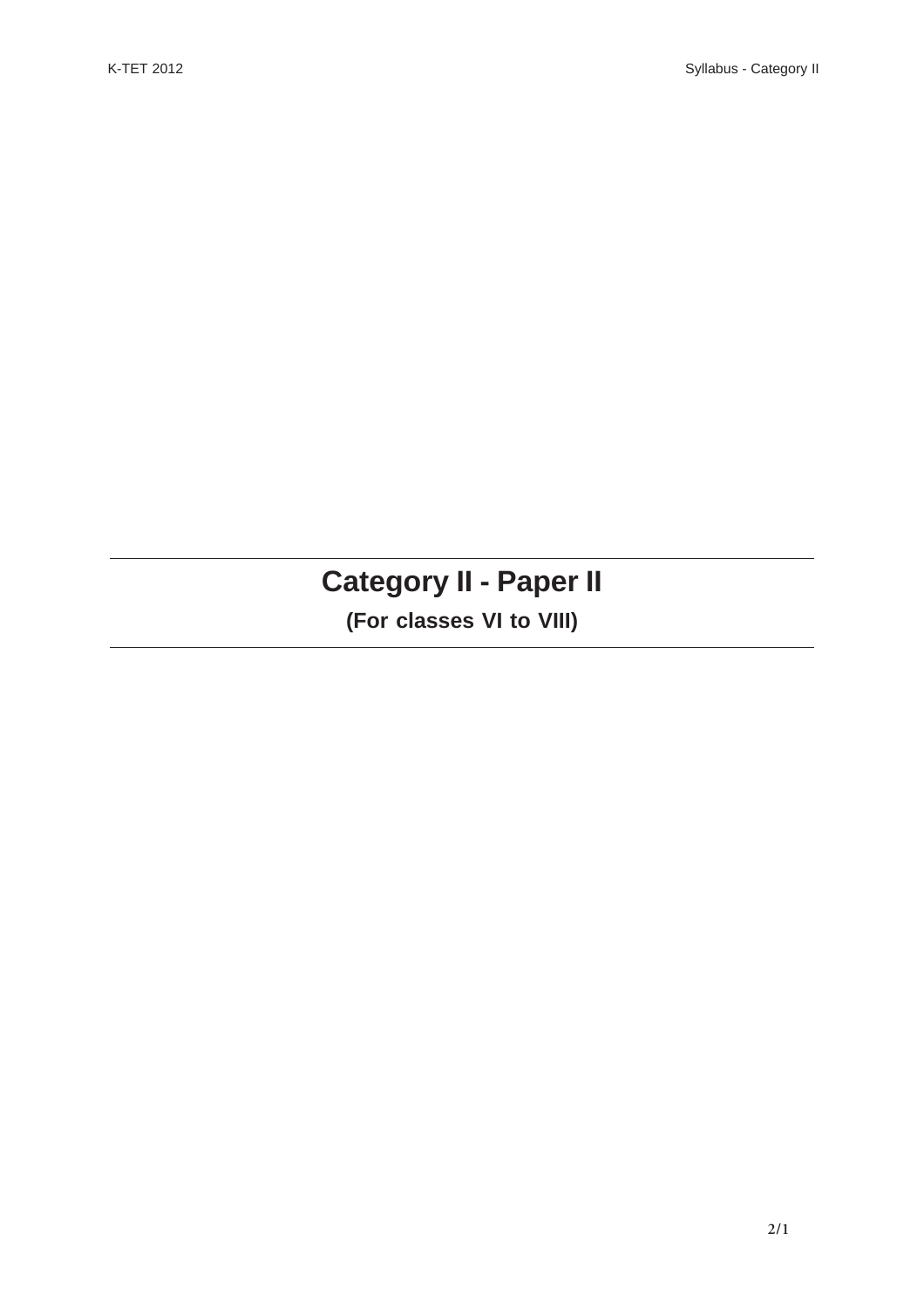# **Category II - Paper II**

## **(For classes VI to VIII)**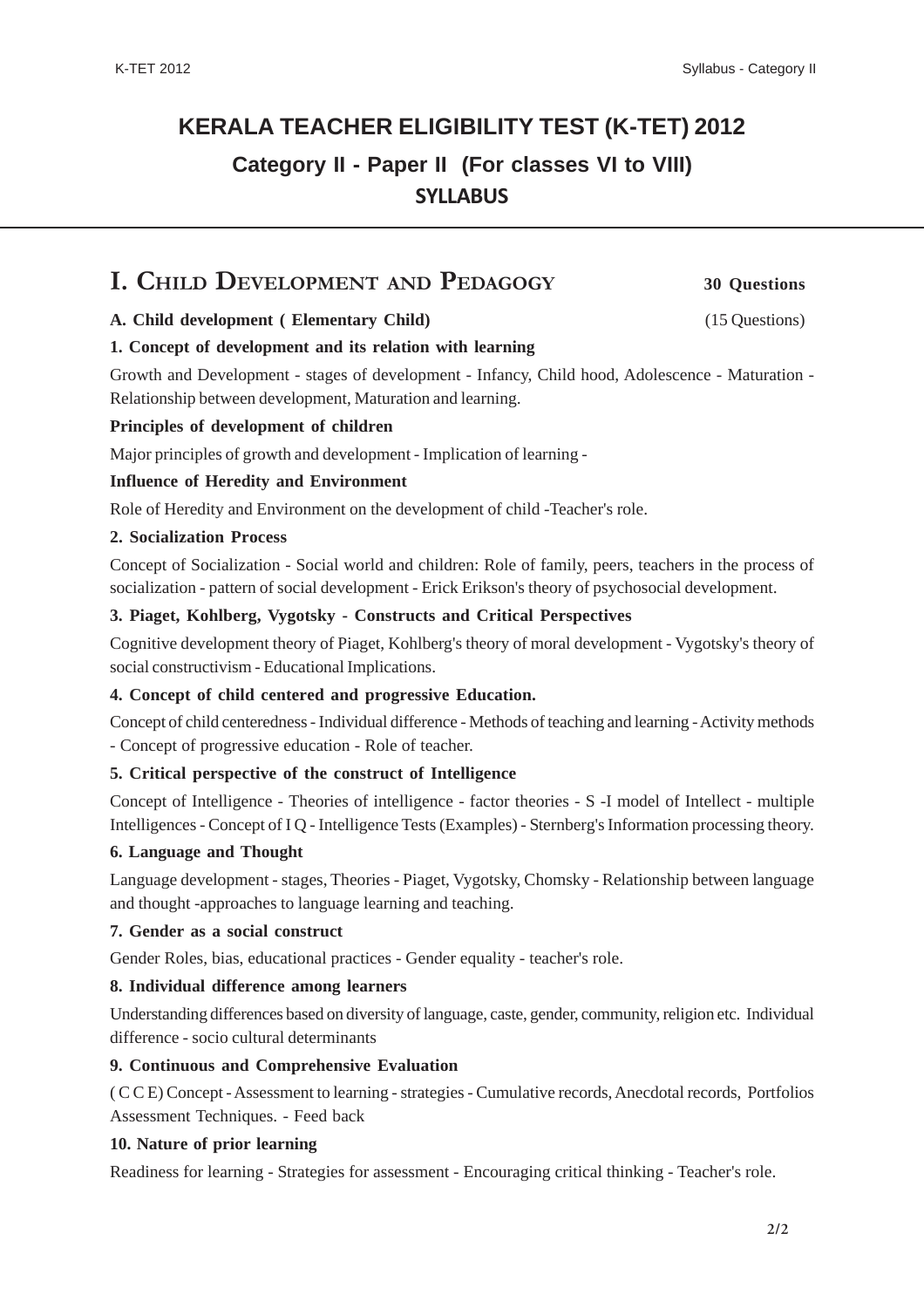#### K-TET 2012

## **KERALA TEACHER ELIGIBILITY TEST (K-TET) 2012 Category II - Paper II (For classes VI to VIII) SYLLABUS**

## **I. CHILD DEVELOPMENT AND PEDAGOGY 30 Questions**

### **A. Child development ( Elementary Child)** (15 Questions)

**1. Concept of development and its relation with learning**

Growth and Development - stages of development - Infancy, Child hood, Adolescence - Maturation - Relationship between development, Maturation and learning.

#### **Principles of development of children**

Major principles of growth and development - Implication of learning -

#### **Influence of Heredity and Environment**

Role of Heredity and Environment on the development of child -Teacher's role.

#### **2. Socialization Process**

Concept of Socialization - Social world and children: Role of family, peers, teachers in the process of socialization - pattern of social development - Erick Erikson's theory of psychosocial development.

#### **3. Piaget, Kohlberg, Vygotsky - Constructs and Critical Perspectives**

Cognitive development theory of Piaget, Kohlberg's theory of moral development - Vygotsky's theory of social constructivism - Educational Implications.

#### **4. Concept of child centered and progressive Education.**

Concept of child centeredness - Individual difference - Methods of teaching and learning - Activity methods - Concept of progressive education - Role of teacher.

#### **5. Critical perspective of the construct of Intelligence**

Concept of Intelligence - Theories of intelligence - factor theories - S -I model of Intellect - multiple Intelligences - Concept of I Q - Intelligence Tests (Examples) - Sternberg's Information processing theory.

#### **6. Language and Thought**

Language development - stages, Theories - Piaget, Vygotsky, Chomsky - Relationship between language and thought -approaches to language learning and teaching.

#### **7. Gender as a social construct**

Gender Roles, bias, educational practices - Gender equality - teacher's role.

#### **8. Individual difference among learners**

Understanding differences based on diversity of language, caste, gender, community, religion etc. Individual difference - socio cultural determinants

#### **9. Continuous and Comprehensive Evaluation**

( C C E) Concept - Assessment to learning - strategies - Cumulative records, Anecdotal records, Portfolios Assessment Techniques. - Feed back

#### **10. Nature of prior learning**

Readiness for learning - Strategies for assessment - Encouraging critical thinking - Teacher's role.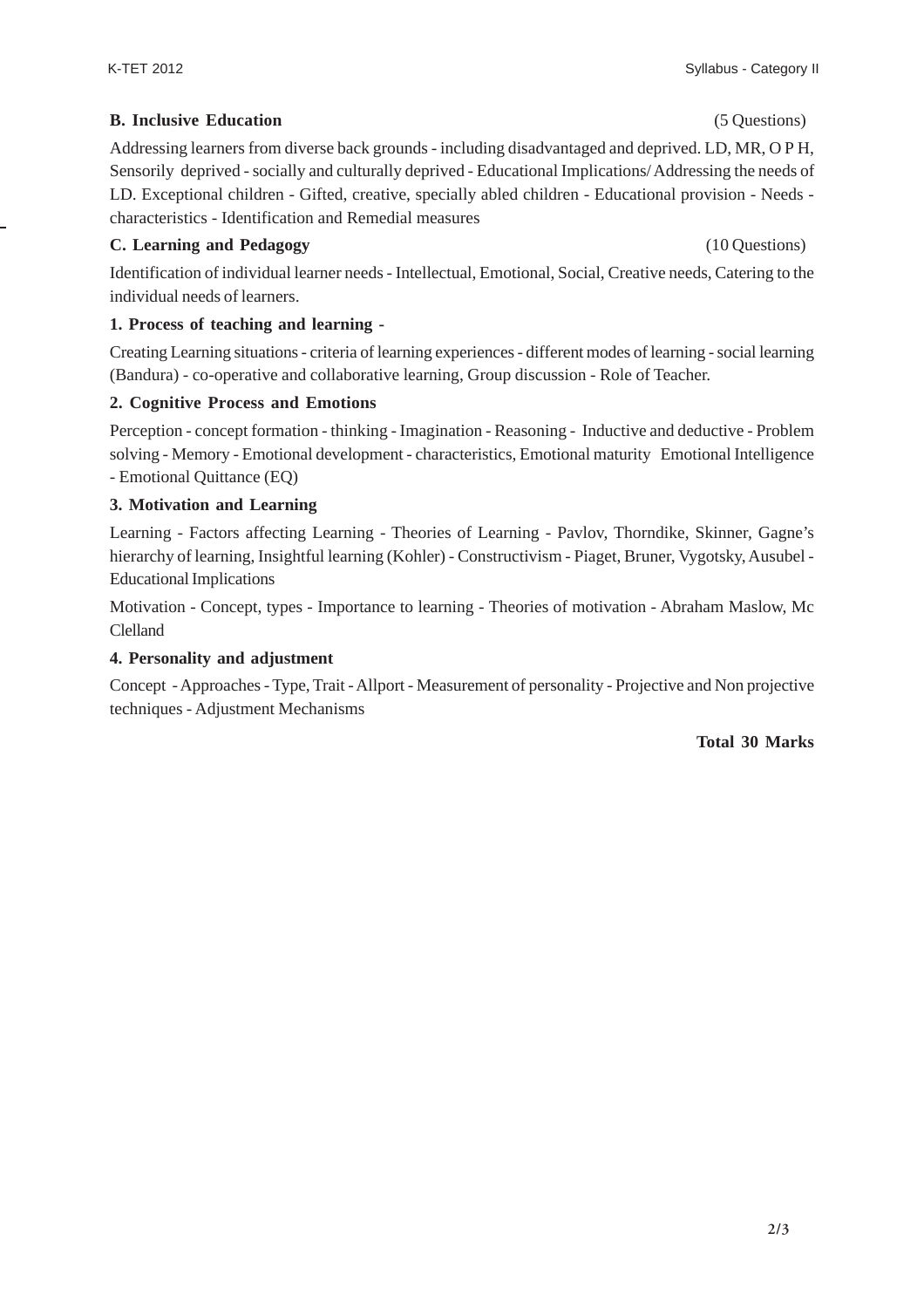### **B. Inclusive Education** (5 Questions)

Addressing learners from diverse back grounds - including disadvantaged and deprived. LD, MR, O P H, Sensorily deprived - socially and culturally deprived - Educational Implications/ Addressing the needs of LD. Exceptional children - Gifted, creative, specially abled children - Educational provision - Needs characteristics - Identification and Remedial measures

### **C. Learning and Pedagogy** (10 Questions)

Identification of individual learner needs - Intellectual, Emotional, Social, Creative needs, Catering to the individual needs of learners.

### **1. Process of teaching and learning -**

Creating Learning situations - criteria of learning experiences - different modes of learning - social learning (Bandura) - co-operative and collaborative learning, Group discussion - Role of Teacher.

#### **2. Cognitive Process and Emotions**

Perception - concept formation - thinking - Imagination - Reasoning - Inductive and deductive - Problem solving - Memory - Emotional development - characteristics, Emotional maturity Emotional Intelligence - Emotional Quittance (EQ)

#### **3. Motivation and Learning**

Learning - Factors affecting Learning - Theories of Learning - Pavlov, Thorndike, Skinner, Gagne's hierarchy of learning, Insightful learning (Kohler) - Constructivism - Piaget, Bruner, Vygotsky, Ausubel - Educational Implications

Motivation - Concept, types - Importance to learning - Theories of motivation - Abraham Maslow, Mc Clelland

#### **4. Personality and adjustment**

Concept - Approaches - Type, Trait - Allport - Measurement of personality - Projective and Non projective techniques - Adjustment Mechanisms

#### **Total 30 Marks**

Syllabus - Category II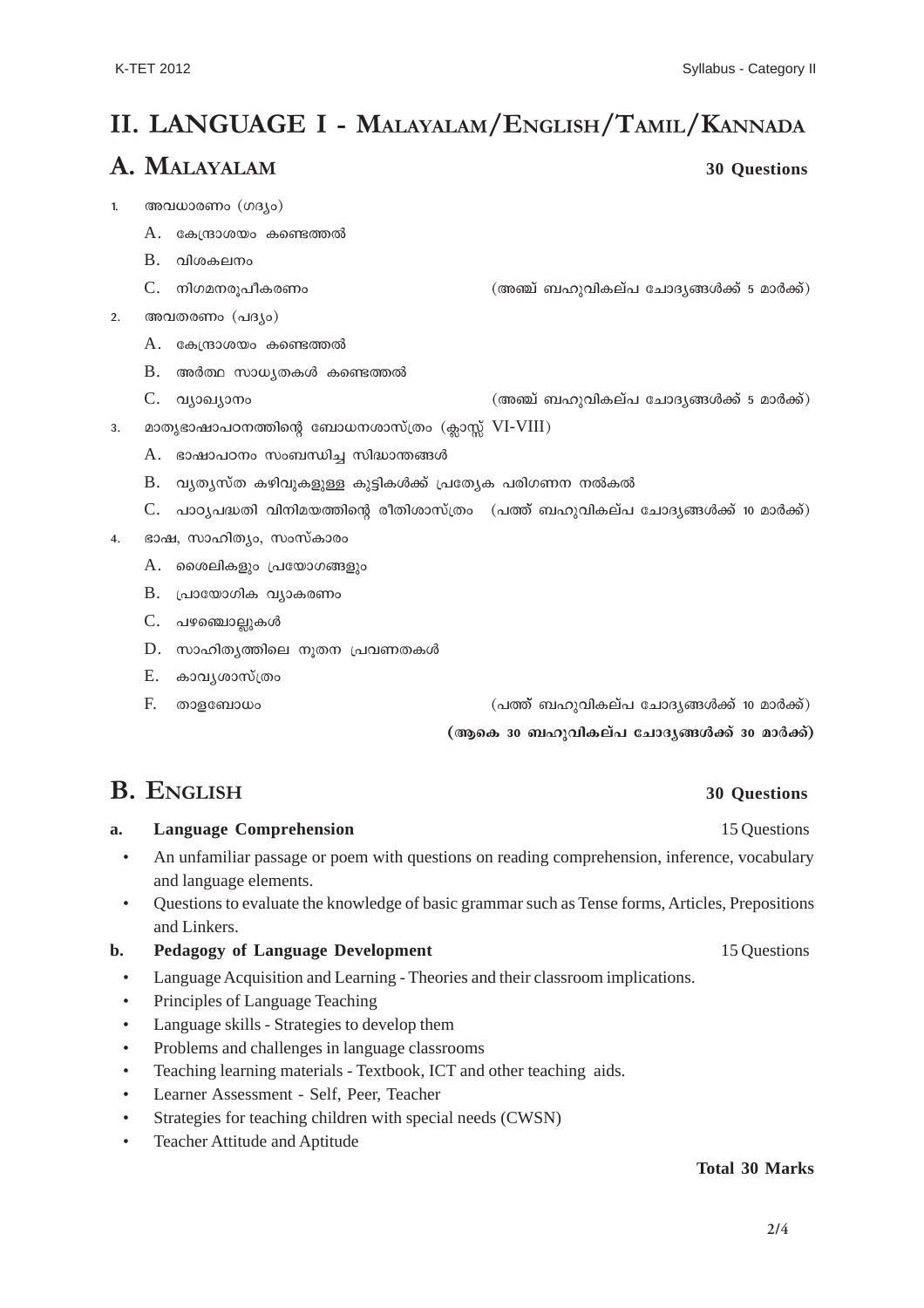## **II. LANGUAGE I - MALAYALAM/ENGLISH/TAMIL/KANNADA**

## **A. MALAYALAM 30 Questions**

- 1. അവധാരണം  $(ma<sub>10</sub>)$ 
	- $A$ . കേന്ദ്രാശയം കണ്ടെത്തൽ
	- $B.$  വിശകലനം
	- $\rm C. \quad$  നിഗമനരുപീകരണം  $\rm C. \quad$ ത്തി-വികല്പ് ചോദ്യങ്ങൾക്ക് 5 മാർക്ക്)
- $2.$  അവതരണം  $( \text{a} 3 \text{b})$ 
	- $A.$  കേന്ദ്രാശയം കണ്ടെത്തൽ
	- $B$ . അർത്ഥ സാധൃതകൾ കണ്ടെത്തൽ
	- $C.$  വ്യാഖ്യാനം കാര്യം കാര്യം (മാത്മ് ബഹുവികല്പ ചോദ്യങ്ങൾക്ക് 5 മാർക്ക്)
- 3. മാതൃഭാഷാപഠനത്തിന്റെ ബോധനശാസ്ത്രം (ക്ലാസ്സ്  $VI-VIII$ )
	- $A.$  ഭാഷാപഠനം സംബന്ധിച്ച സിദ്ധാന്തങ്ങൾ
	- $B.$  വൃതൃസ്ത കഴിവുകളുള്ള കുട്ടികൾക്ക് പ്രത്യേക പരിഗണന നൽകൽ
	- $C.$  പാഠ്യപദ്ധതി വിനിമയത്തിന്റെ രീതിശാസ്ത്രം  $\alpha$ ത്ത് ബഹുവികല്പ ചോദ്യങ്ങൾക്ക് 10 മാർക്ക്)
- 4. ഭാഷ, സാഹിത്യം, സംസ്കാരം
	- $A.$  മൈലികളും പ്രയോഗങ്ങളും
	- $B.$  പ്രായോഗിക വ്യാകരണം
	- C. പഴഞ്ചൊല്ലുകൾ
	- $D.$  സാഹിതൃത്തിലെ നൂതന പ്രവണതകൾ
	- E. കാവൃശാസ്ത്രം
	- $F.$  താളബോധം ദേശയം കാരണം കാരണം (പത്ത് ബഹുവികല്പ ചോദൃങ്ങൾക്ക് 10 മാർക്ക്)

(ആകെ 30 ബഹുവികല്പ ചോദൃങ്ങൾക്ക് 30 മാർക്ക്)

## **B. ENGLISH 30 Questions**

## **a.** Language Comprehension 15 Questions

- An unfamiliar passage or poem with questions on reading comprehension, inference, vocabulary and language elements.
- Questions to evaluate the knowledge of basic grammar such as Tense forms, Articles, Prepositions and Linkers.
- **b.** Pedagogy of Language Development 15 Questions
	- Language Acquisition and Learning Theories and their classroom implications.
	- Principles of Language Teaching
	- Language skills Strategies to develop them
	- Problems and challenges in language classrooms
	- Teaching learning materials Textbook, ICT and other teaching aids.
	- Learner Assessment Self, Peer, Teacher
	- Strategies for teaching children with special needs (CWSN)
	- Teacher Attitude and Aptitude

#### **Total 30 Marks**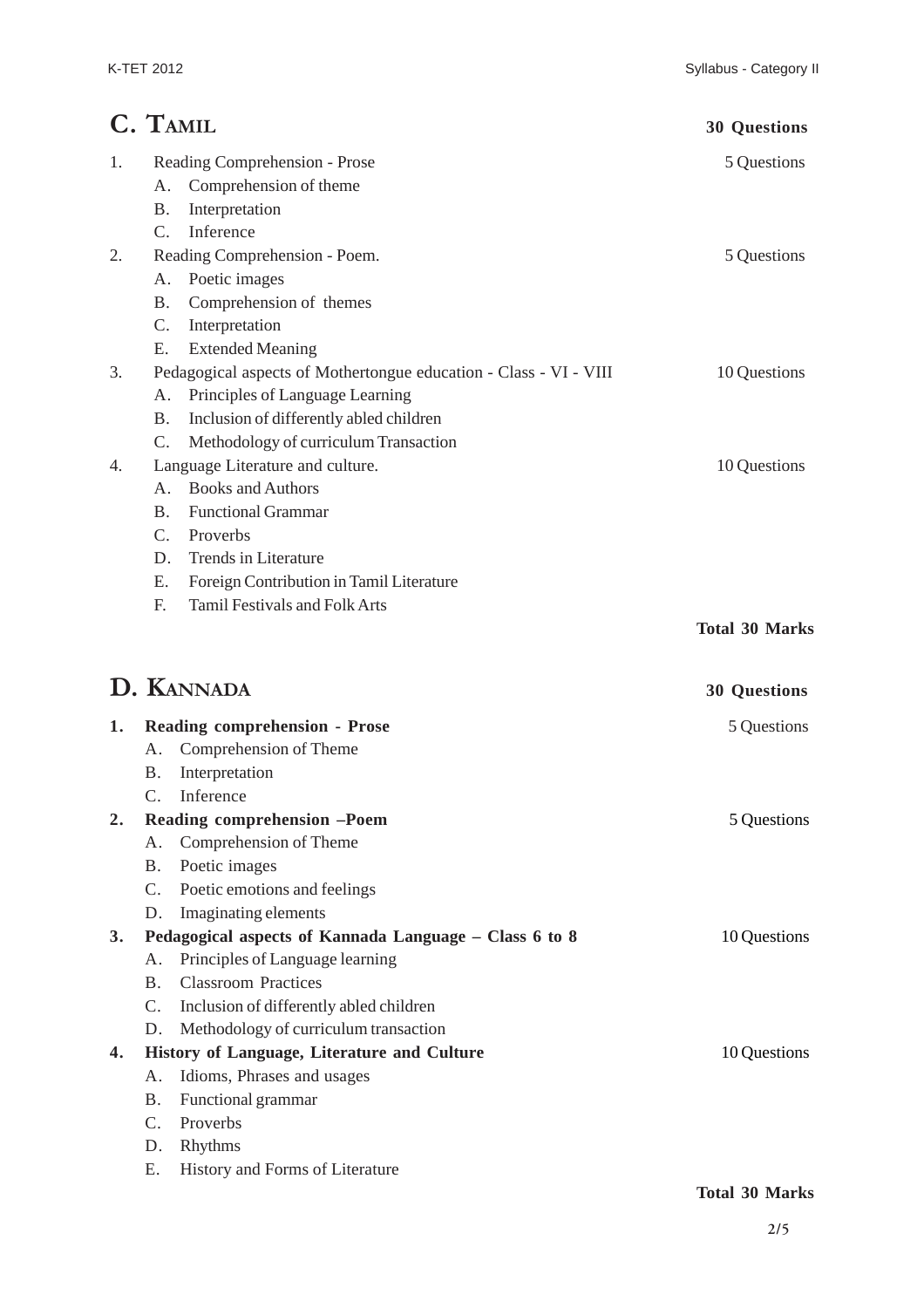|    | C. TAMIL                                                          | <b>30 Questions</b>   |
|----|-------------------------------------------------------------------|-----------------------|
| 1. | Reading Comprehension - Prose                                     | 5 Questions           |
|    | Comprehension of theme<br>A.                                      |                       |
|    | Interpretation<br>Β.                                              |                       |
|    | Inference<br>$\mathcal{C}$ .                                      |                       |
| 2. | Reading Comprehension - Poem.                                     | 5 Questions           |
|    | Poetic images<br>Α.                                               |                       |
|    | Comprehension of themes<br>Β.                                     |                       |
|    | C.<br>Interpretation                                              |                       |
|    | <b>Extended Meaning</b><br>Ε.                                     |                       |
| 3. | Pedagogical aspects of Mothertongue education - Class - VI - VIII | 10 Questions          |
|    | Principles of Language Learning<br>Α.                             |                       |
|    | Inclusion of differently abled children<br>Β.                     |                       |
|    | Methodology of curriculum Transaction<br>C.                       |                       |
| 4. | Language Literature and culture.                                  | 10 Questions          |
|    | <b>Books and Authors</b><br>A <sub>1</sub>                        |                       |
|    | <b>Functional Grammar</b><br><b>B.</b>                            |                       |
|    | C.<br>Proverbs                                                    |                       |
|    | Trends in Literature<br>D.                                        |                       |
|    | Foreign Contribution in Tamil Literature<br>Ε.                    |                       |
|    | <b>Tamil Festivals and Folk Arts</b><br>F.                        |                       |
|    |                                                                   | <b>Total 30 Marks</b> |
|    | D. KANNADA                                                        | <b>30 Questions</b>   |
| 1. | <b>Reading comprehension - Prose</b>                              | 5 Questions           |
|    | Comprehension of Theme<br>Α.                                      |                       |
|    | Interpretation<br><b>B.</b>                                       |                       |
|    | Inference                                                         |                       |
| 2. | Reading comprehension -Poem                                       | 5 Questions           |
|    | Comprehension of Theme<br>Α.                                      |                       |
|    | Poetic images<br><b>B.</b>                                        |                       |
|    | Poetic emotions and feelings<br>$\mathsf{C}$ .                    |                       |
|    | Imaginating elements<br>D.                                        |                       |
| 3. | Pedagogical aspects of Kannada Language - Class 6 to 8            | 10 Questions          |
|    | Principles of Language learning<br>А.                             |                       |
|    | <b>Classroom Practices</b><br><b>B.</b>                           |                       |
|    | $C_{\cdot}$<br>Inclusion of differently abled children            |                       |
|    | Methodology of curriculum transaction<br>D.                       |                       |
| 4. | History of Language, Literature and Culture                       | 10 Questions          |
|    | Idioms, Phrases and usages<br>Α.                                  |                       |

- B. Functional grammar
- C. Proverbs
- D. Rhythms
- E. History and Forms of Literature

#### **Total 30 Marks**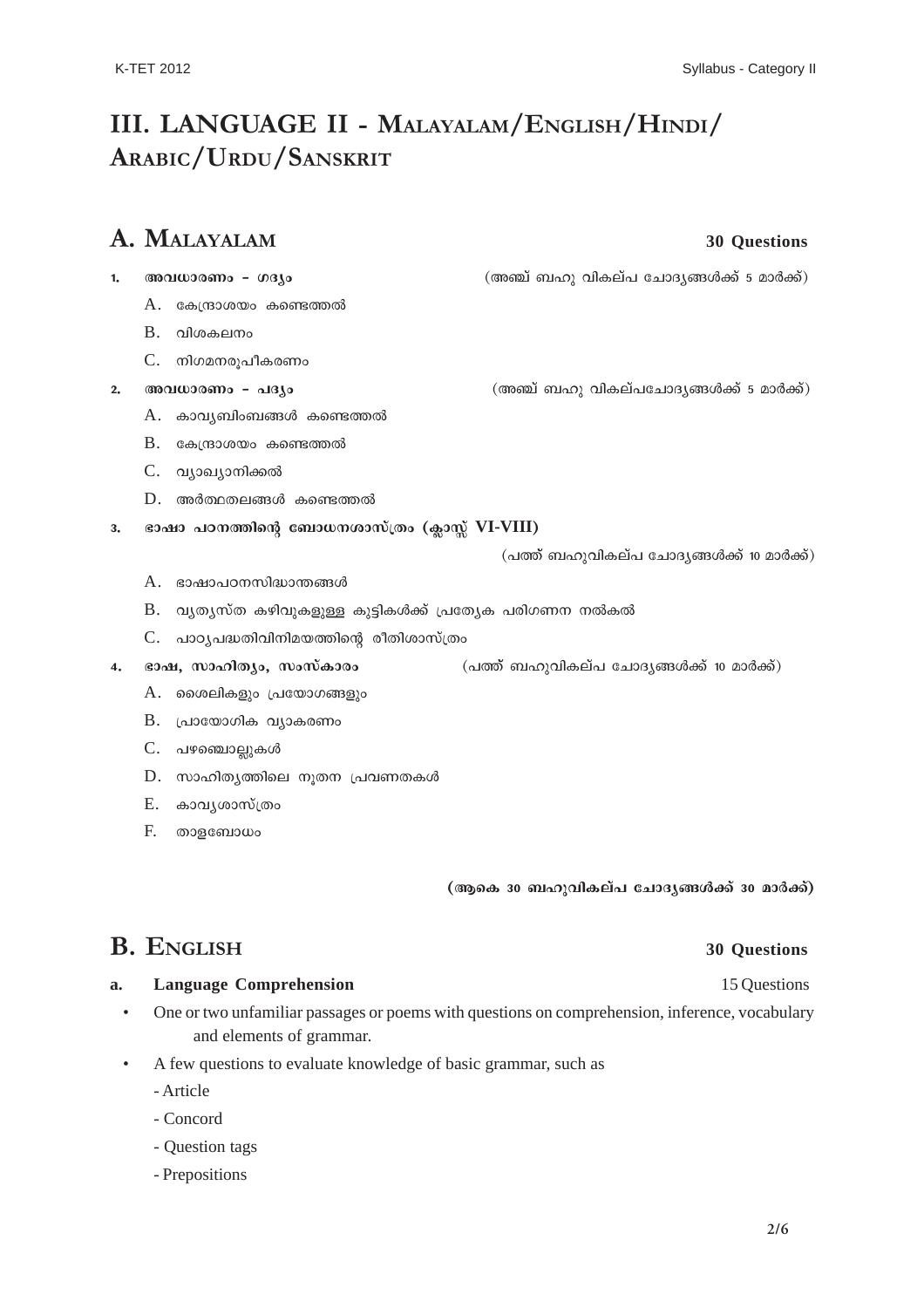## **III. LANGUAGE II - MALAYALAM/ENGLISH/HINDI/ ARABIC/URDU/SANSKRIT**

## **A. MALAYALAM 30 Questions**

- <u>1. അവധാരണം ഗദ്യം കാര്യം കാര്യം (അഞ്ച് ബഹു വികല്പ ചോദ്യങ്ങൾക്ക് 5 മാർക്ക്)</u>
	- $A.$  കേന്ദ്രാശയം കണ്ടെത്തൽ
	- $B.$  വിശകലനം
	- $C.$  നിഗമനരൂപീകരണം
- <u>2. അവധാരണം പദ്യം മും കോട്ട് (അഞ്ച് ബഹു വികല്പചോദ്യങ്ങൾക്ക് 5 മാർക്ക്)</u>
	- $A.$  കാവ്യബിംബങ്ങൾ കണ്ടെത്തൽ
	- $B.$  കേന്ദ്രാശയം കണ്ടെത്തൽ
	- C. വ്യാഖ്യാനിക്കൽ
	- D. അർത്ഥതലങ്ങൾ കണ്ടെത്തൽ
- 3. ഭാഷാ പഠനത്തിന്റെ ബോധനശാസ്ത്രം (ക്ലാസ്സ് VI-VIII)

(പത്ത് ബഹുവികല്പ ചോദൃങ്ങൾക്ക് 10 മാർക്ക്)

- $A.$  ഭാഷാപഠനസിദ്ധാന്തങ്ങൾ
- $B.$  വ്യത്യസ്ത കഴിവുകളുള്ള കുട്ടികൾക്ക് പ്രത്യേക പരിഗണന നൽകൽ
- $C.$  പാഠ്യപദ്ധതിവിനിമയത്തിന്റെ രീതിശാസ്ത്രം
- **4. ഭാഷ, സാഹിത്യം, സംസ്കാരം (പത്ത് ബഹുവികല്പ ചോദ്യങ്ങൾക്ക് 10 മാർക്ക്)** 
	- A. ശൈലികളും പ്രയോഗങ്ങളും
	- $B.$  പ്രായോഗിക വ്യാകരണം
	- C. പഴഞ്ചൊല്ലുകൾ
	- $D.$  സാഹിതൃത്തിലെ നൂതന പ്രവണതകൾ
	- E. കാവൃശാസ്ത്രം
	- F. താളബോധം

(ആകെ 30 ബഹുവികല്പ ചോദൃങ്ങൾക്ക് 30 മാർക്ക്)

## **B. ENGLISH 30 Questions**

#### **a.** Language Comprehension **15** Questions **15** Questions

- One or two unfamiliar passages or poems with questions on comprehension, inference, vocabulary and elements of grammar.
- A few questions to evaluate knowledge of basic grammar, such as
	- Article
	- Concord
	- Question tags
	- Prepositions

### **2/6**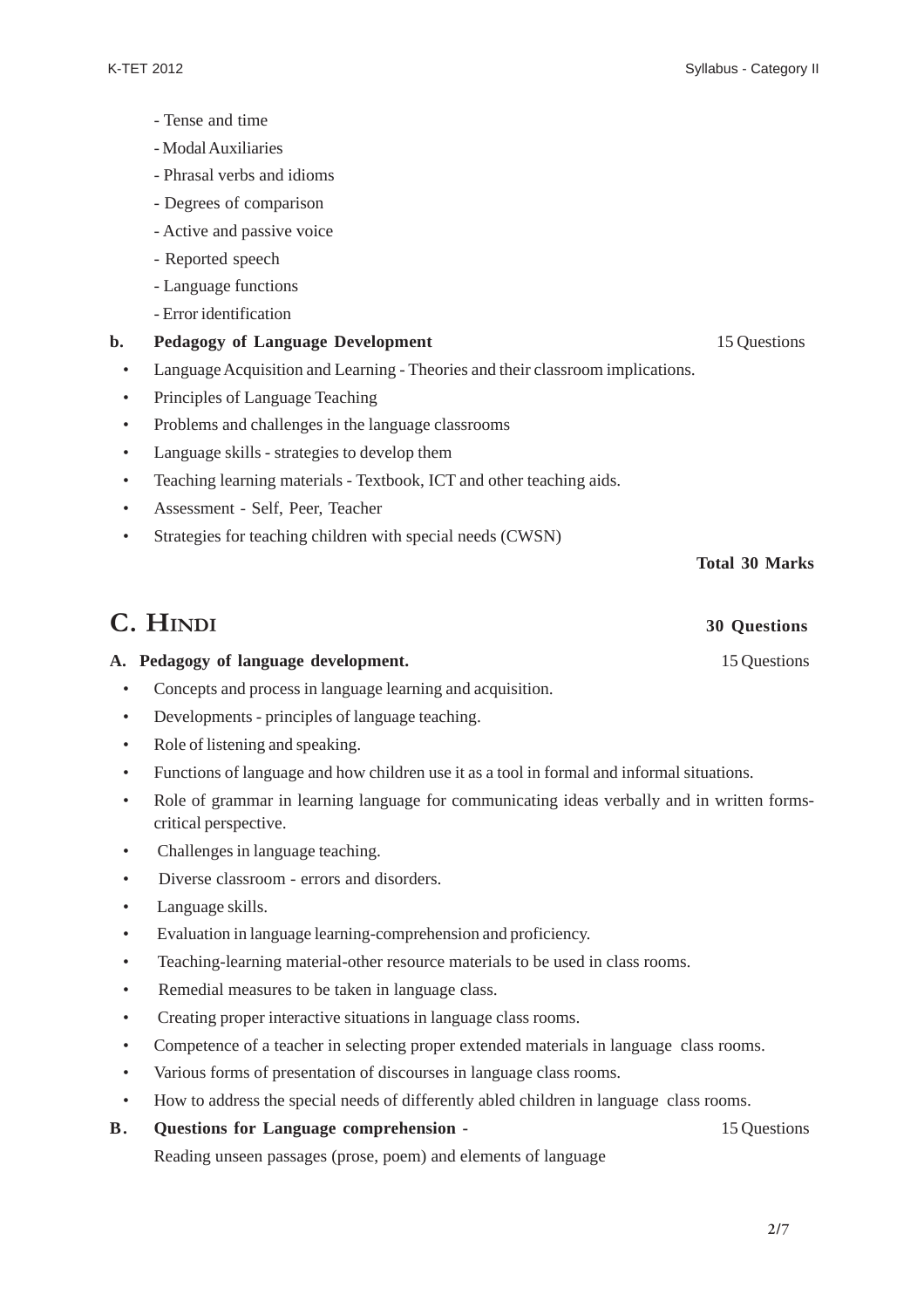- Tense and time
- Modal Auxiliaries
- Phrasal verbs and idioms
- Degrees of comparison
- Active and passive voice
- Reported speech
- Language functions
- Error identification

### **b.** Pedagogy of Language Development 15 Questions

- Language Acquisition and Learning Theories and their classroom implications.
- Principles of Language Teaching
- Problems and challenges in the language classrooms
- Language skills strategies to develop them
- Teaching learning materials Textbook, ICT and other teaching aids.
- Assessment Self, Peer, Teacher
- Strategies for teaching children with special needs (CWSN)

#### **Total 30 Marks**

## **C. HINDI 30 Questions**

### A. Pedagogy of language development. 15 Questions

- Concepts and process in language learning and acquisition.
- Developments principles of language teaching.
- Role of listening and speaking.
- Functions of language and how children use it as a tool in formal and informal situations.
- Role of grammar in learning language for communicating ideas verbally and in written formscritical perspective.
- Challenges in language teaching.
- Diverse classroom errors and disorders.
- Language skills.
- Evaluation in language learning-comprehension and proficiency.
- Teaching-learning material-other resource materials to be used in class rooms.
- Remedial measures to be taken in language class.
- Creating proper interactive situations in language class rooms.
- Competence of a teacher in selecting proper extended materials in language class rooms.
- Various forms of presentation of discourses in language class rooms.
- How to address the special needs of differently abled children in language class rooms.

### **B.** Questions for Language comprehension - 15 Questions

Reading unseen passages (prose, poem) and elements of language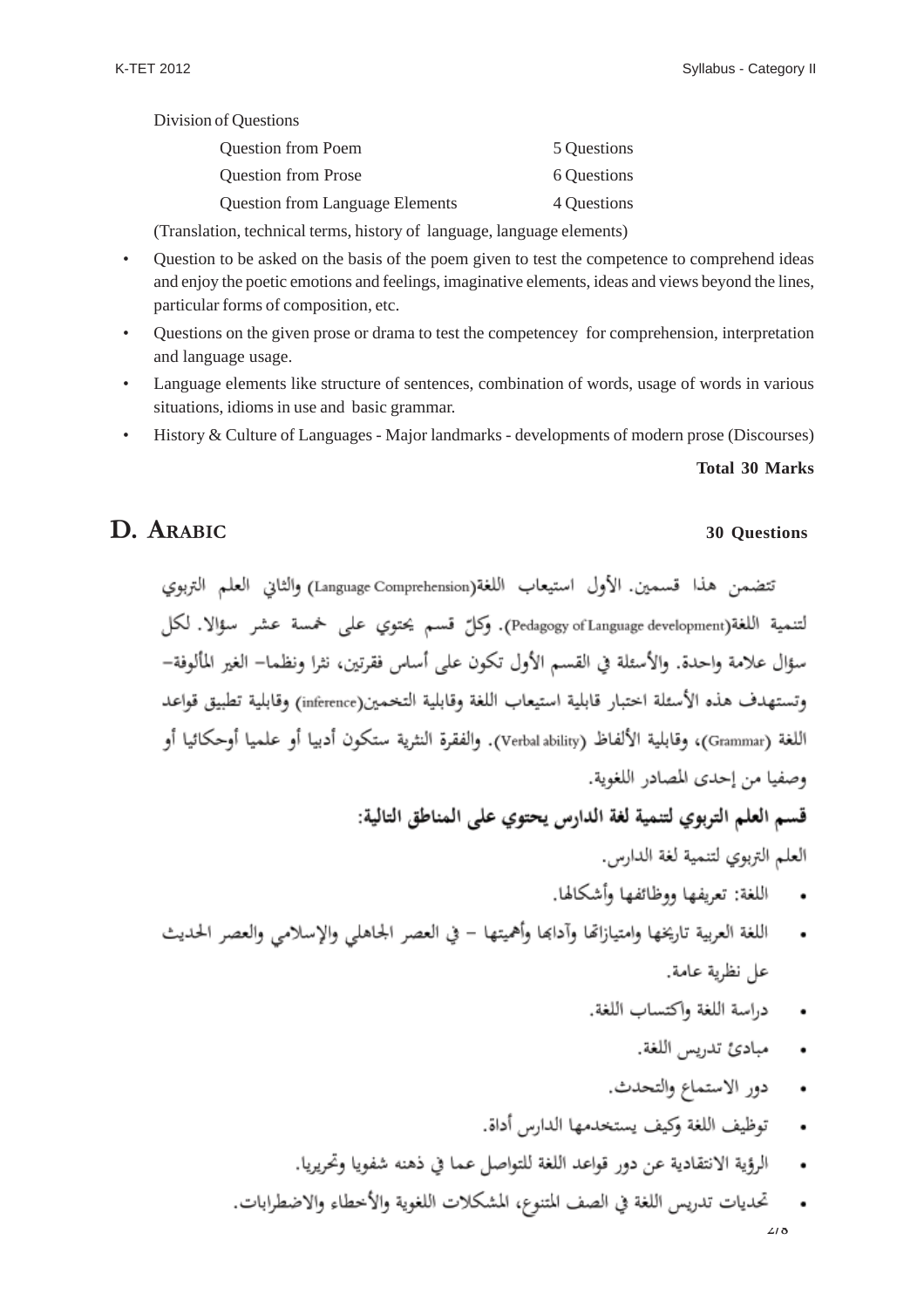Division of Questions

| <b>Question from Poem</b>              | 5 Questions |
|----------------------------------------|-------------|
| <b>Question from Prose</b>             | 6 Questions |
| <b>Question from Language Elements</b> | 4 Questions |

(Translation, technical terms, history of language, language elements)

- Question to be asked on the basis of the poem given to test the competence to comprehend ideas and enjoy the poetic emotions and feelings, imaginative elements, ideas and views beyond the lines, particular forms of composition, etc.
- Questions on the given prose or drama to test the competencey for comprehension, interpretation and language usage.
- Language elements like structure of sentences, combination of words, usage of words in various situations, idioms in use and basic grammar.
- History & Culture of Languages Major landmarks developments of modern prose (Discourses)

#### **Total 30 Marks**

## **D. ARABIC 30 Questions**

تتضمن هذا قسمين. الأول استيعاب اللغة(Language Comprehension) والثاني العلم التربوي لتنمية اللغة(Pedagogy of Language development). وكلّ قسم يحتوي على خمسة عشر سؤالًا. لكل سؤال علامة واحدة. والأسئلة في القسم الأول تكون على أساس فقرتين، نثرا ونظما– الغير المألوفة– وتستهدف هذه الأسئلة اختبار قابلية استيعاب اللغة وقابلية التخمين(inference) وقابلية تطبيق قواعد اللغة (Grammar)، وقابلية الألفاظ (Verbal ability). والفقرة النثرية ستكون أدبيا أو علميا أوحكائيا أو وصفيا من إحدى المصادر اللغوية.

قسم العلم التربوي لتنمية لغة الدارس يحتوي على المناطق التالية:

العلم التربوي لتنمية لغة الدارس.

- اللغة: تعريفها ووظائفها وأشكالها.
- اللغة العربية تاريخها وامتيازاتها وأدابها وأهميتها في العصر الجاهلي والإسلامي والعصر الحديث عل نظرية عامة.
	- دراسة اللغة واكتساب اللغة.
		- مبادئ تدريس اللغة.
		- دور الاستماع والتحدث.
	- توظيف اللغة وكيف يستخدمها الدارس أداة.  $\ddot{\phantom{0}}$
	- الرؤية الانتقادية عن دور قواعد اللغة للتواصل عما في ذهنه شفويا وتحريريا.
	- تحديات تدريس اللغة في الصف المتنوع، المشكلات اللغوية والأخطاء والاضطرابات. **2/8**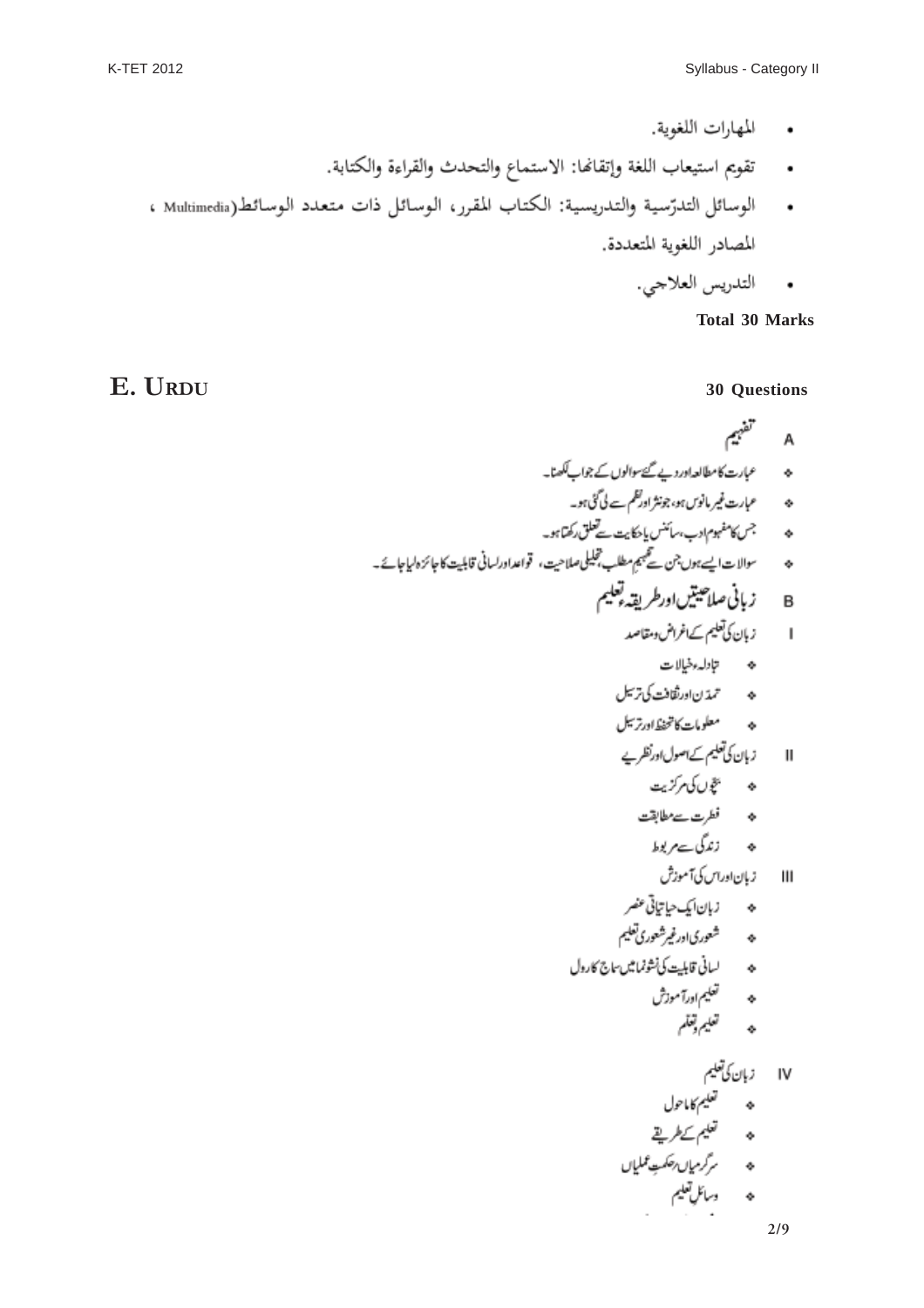- المهارات اللغوية.
- · تقويم استيعاب اللغة وإتقانها: الاستماع والتحدث والقراءة والكتابة.
- الوسائل التدرّسية والتدريسية: الكتاب المقرر، الوسائل ذات متعدد الوسائط(Multimedia ، المصادر اللغوية المتعددة.
	- التدريس العلاجي.

**Total 30 Marks**

## **E. URDU 30 Questions**

تفهيم A حە سىمبارت كامطالعہ!درد بے گئےسوالوں كے جواب ككھنا۔ ھ ۔۔ عمارت غیر مانوس ہو، جونثر اورکظم سے لی گئی ہو۔ ه ، مستجس كامفهوم ادب، سائنس يا حكايت تحلق ركتما مو-ھ سسوالات ايسے ہوں جن تھي جيم مطلب تجليلی صلاحیت، قواعداورلسانی قابليت کا جائزہ لہاجائے۔ B زبانی صلاحیتیںاورطریقہ تعلیم ا زېان کې تعليم ک\غراض دمقاصد ھ تیادلہ مظیالات ه ترترن<sub>ا</sub>ورثقافت کی ترسیل ه به معلومات کانجن<sub>شگ</sub>ادرترسیل زبان کی تعلیم کے اصول اورنظریے  $\mathbf{I}$ ھ پچھ *ل*ائی مرکزیت ه فطرت سے مطابقت ھ زندگ سےمر پوط زبان اوراس کی آموزش  $\mathbf{II}$ هه شعوری اورغیرشعوری تعلیم ه سانى قابليت كى نشونما ميں سابع كارول ه تعلیم اورآموزش<br>ه تعلیم توقلم IV زبان کی تعلیم<br>حہ تعلیم کا اعول<br>حہ تعلیم کے طریقے<br>حہ درائل تعلیم<br>حہ درائل تعلیم **2/9**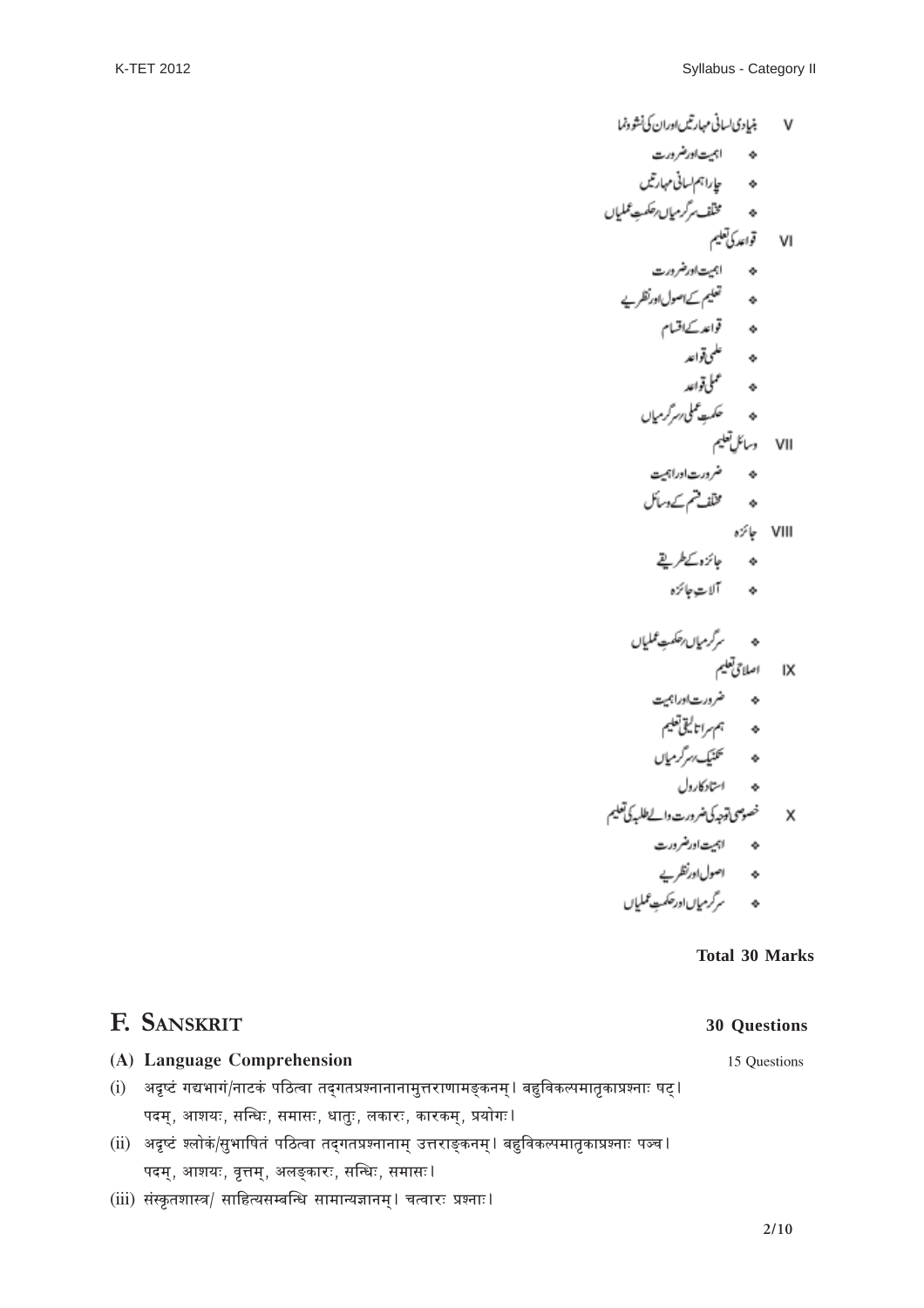$$
V = \frac{1}{2} \int_{0}^{3} \int_{0}^{3} \int_{0}^{3} \int_{0}^{3} \int_{0}^{3} \int_{0}^{3} \int_{0}^{3} \int_{0}^{3} \int_{0}^{3} \int_{0}^{3} \int_{0}^{3} \int_{0}^{3} \int_{0}^{3} \int_{0}^{3} \int_{0}^{3} \int_{0}^{3} \int_{0}^{3} \int_{0}^{3} \int_{0}^{3} \int_{0}^{3} \int_{0}^{3} \int_{0}^{3} \int_{0}^{3} \int_{0}^{3} \int_{0}^{3} \int_{0}^{3} \int_{0}^{3} \int_{0}^{3} \int_{0}^{3} \int_{0}^{3} \int_{0}^{3} \int_{0}^{3} \int_{0}^{3} \int_{0}^{3} \int_{0}^{3} \int_{0}^{3} \int_{0}^{3} \int_{0}^{3} \int_{0}^{3} \int_{0}^{3} \int_{0}^{3} \int_{0}^{3} \int_{0}^{3} \int_{0}^{3} \int_{0}^{3} \int_{0}^{3} \int_{0}^{3} \int_{0}^{3} \int_{0}^{3} \int_{0}^{3} \int_{0}^{3} \int_{0}^{3} \int_{0}^{3} \int_{0}^{3} \int_{0}^{3} \int_{0}^{3} \int_{0}^{3} \int_{0}^{3} \int_{0}^{3} \int_{0}^{3} \int_{0}^{3} \int_{0}^{3} \int_{0}^{3} \int_{0}^{3} \int_{0}^{3} \int_{0}^{3} \int_{0}^{3} \int_{0}^{3} \int_{0}^{3} \int_{0}^{3} \int_{0}^{3} \int_{0}^{3} \int_{0}^{3} \int_{0}^{3} \int_{0}^{3} \int_{0}^{3} \int_{0}^{3} \int_{0}^{3} \int_{0}^{3} \int_{0}^{3} \int_{0}^{3} \int_{0}^{3} \int_{0}^{3} \int_{0}^{3} \int_{0}^{3} \int_{0}^{3} \int_{0}^{3} \int_{0}^{3} \int_{0}^{3} \int_{0}^{3} \int_{0}^{3} \int_{0}^{3} \int_{0}^{3} \int_{0}^{
$$

#### **Total 30 Marks**

## **F. SANSKRIT 30 Questions**

#### **(A) Language Comprehension** 15 Questions

- (i) अदृष्टं गद्यभागं/नाटकं पठित्वा तद्गतप्रश्नानानामुत्तराणामङ्कनम् । बहुविकल्पमातृकाप्रश्नाः षट् । पदम्, आशयः, सन्धिः, समासः, धातुः, लकारः, कारकम्, प्रयोगः<mark>।</mark>
- (ii) अदृष्टं श्लोकं/सुभाषितं पठित्वा तद्गतप्रश्नानाम् उत्तराङ्कनम् l बहुविकल्पमातृकाप्रश्नाः पञ्च l पदम्, आशयः, वृत्तम्, अलङ्कारः, सन्धिः, समासः $\sf I$
- (iii) संस्कृतशास्त्र/ साहित्यसम्बन्धि सामान्यज्ञानम् । चत्वारः प्रश्नाः ।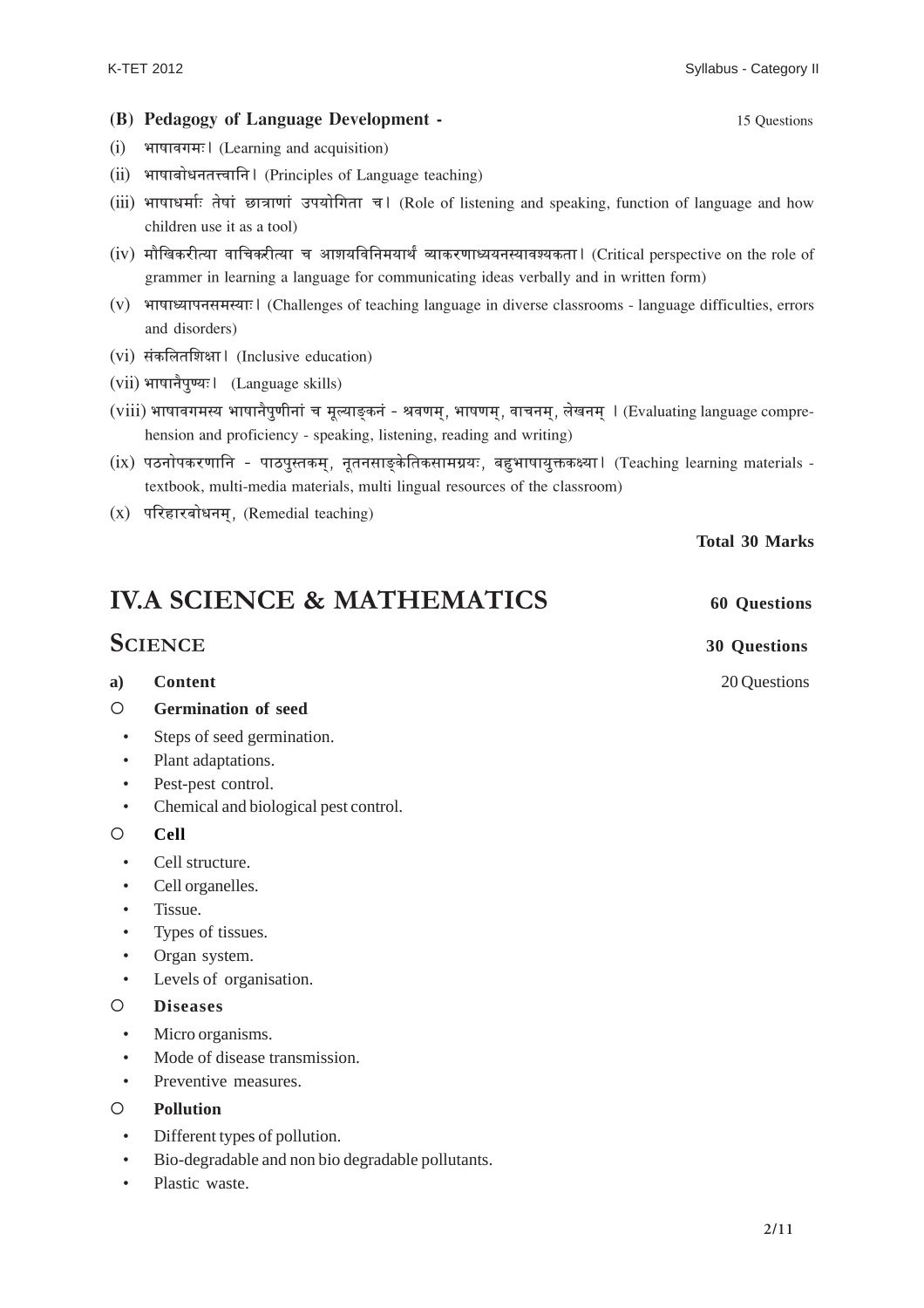#### **(B) Pedagogy of Language Development -** 15 Questions

- $(i)$  भाषावगमः (Learning and acquisition)
- (ii) भाषाबोधनतत्त्वानि। (Principles of Language teaching)
- $(iii)$  भाषाधर्माः तेषां छात्राणां उपयोगिता च। (Role of listening and speaking, function of language and how children use it as a tool)
- (iv) मौखिकरीत्या वाचिकरीत्या च आशयविनिमयार्थं व्याकरणाध्ययनस्यावश्यकता । (Critical perspective on the role of grammer in learning a language for communicating ideas verbally and in written form)
- $(v)$  भाषाध्यापनसमस्याः | (Challenges of teaching language in diverse classrooms language difficulties, errors and disorders)
- (vi) संकलितशिक्षा। (Inclusive education)
- $(vii)$  भाषानैपुण्यः । (Language skills)
- (viii) भाषावगमस्य भाषानैपूणीनां च मूल्याङकनं श्रवणम, भाषणम, वाचनम, लेखनम । (Evaluating language comprehension and proficiency - speaking, listening, reading and writing)
- (ix) पठनोपकरणानि पाठपुस्तकम, नूतनसाङकेतिकसामग्रयः, बहृभाषायुक्तकक्ष्या। (Teaching learning materials textbook, multi-media materials, multi lingual resources of the classroom)
- $(x)$  परिहारबोधनम, (Remedial teaching)

**IV.A SCIENCE & MATHEMATICS** 60 Questions

## **SCIENCE 30 Questions**

**a)** Content 20 Questions

- { **Germination of seed**
	- Steps of seed germination.
	- Plant adaptations.
	- Pest-pest control.
	- Chemical and biological pest control.

#### { **Cell**

- Cell structure.
- Cell organelles.
- Tissue.
- Types of tissues.
- Organ system.
- Levels of organisation.

#### { **Diseases**

- Micro organisms.
- Mode of disease transmission.
- Preventive measures.

#### { **Pollution**

- Different types of pollution.
- Bio-degradable and non bio degradable pollutants.
- Plastic waste.

**Total 30 Marks**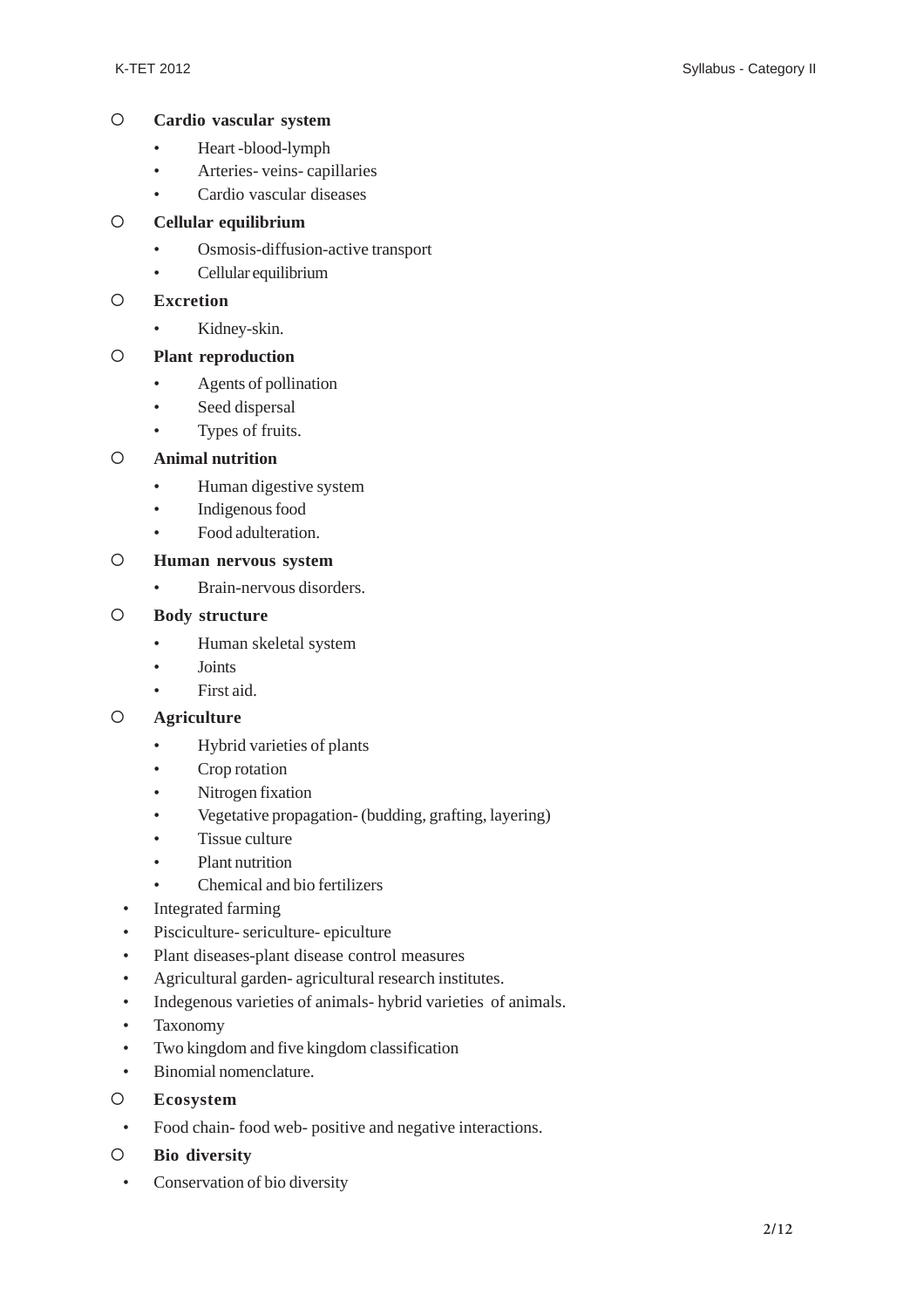#### { **Cardio vascular system**

- Heart -blood-lymph
- Arteries- veins- capillaries
- Cardio vascular diseases

#### { **Cellular equilibrium**

- Osmosis-diffusion-active transport
- Cellular equilibrium

#### { **Excretion**

• Kidney-skin.

#### { **Plant reproduction**

- Agents of pollination
- Seed dispersal
- Types of fruits.

#### { **Animal nutrition**

- Human digestive system
- Indigenous food
- Food adulteration.

#### { **Human nervous system**

• Brain-nervous disorders.

#### { **Body structure**

- Human skeletal system
- Joints
- First aid.

### { **Agriculture**

- Hybrid varieties of plants
- Crop rotation
- Nitrogen fixation
- Vegetative propagation- (budding, grafting, layering)
- Tissue culture
- Plant nutrition
- Chemical and bio fertilizers
- Integrated farming
- Pisciculture- sericulture- epiculture
- Plant diseases-plant disease control measures
- Agricultural garden- agricultural research institutes.
- Indegenous varieties of animals- hybrid varieties of animals.
- Taxonomy
- Two kingdom and five kingdom classification
- Binomial nomenclature.
- { **Ecosystem**
- Food chain- food web- positive and negative interactions.
- { **Bio diversity**
- Conservation of bio diversity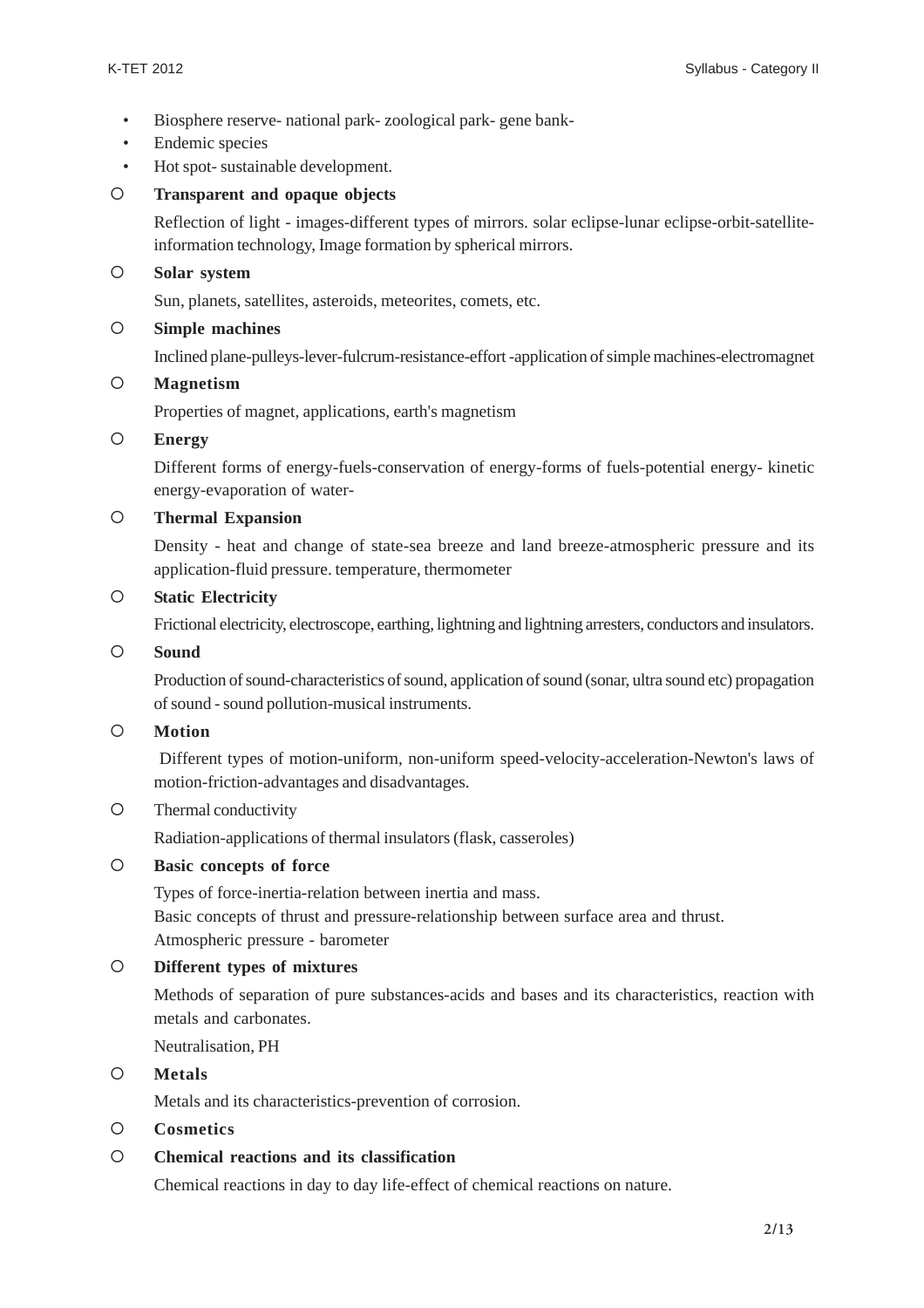- Biosphere reserve- national park- zoological park- gene bank-
- Endemic species
- Hot spot- sustainable development.

#### { **Transparent and opaque objects**

Reflection of light - images-different types of mirrors. solar eclipse-lunar eclipse-orbit-satelliteinformation technology, Image formation by spherical mirrors.

#### { **Solar system**

Sun, planets, satellites, asteroids, meteorites, comets, etc.

#### { **Simple machines**

Inclined plane-pulleys-lever-fulcrum-resistance-effort -application of simple machines-electromagnet

#### { **Magnetism**

Properties of magnet, applications, earth's magnetism

#### { **Energy**

Different forms of energy-fuels-conservation of energy-forms of fuels-potential energy- kinetic energy-evaporation of water-

#### { **Thermal Expansion**

Density - heat and change of state-sea breeze and land breeze-atmospheric pressure and its application-fluid pressure. temperature, thermometer

#### { **Static Electricity**

Frictional electricity, electroscope, earthing, lightning and lightning arresters, conductors and insulators.

#### { **Sound**

Production of sound-characteristics of sound, application of sound (sonar, ultra sound etc) propagation of sound - sound pollution-musical instruments.

### { **Motion**

 Different types of motion-uniform, non-uniform speed-velocity-acceleration-Newton's laws of motion-friction-advantages and disadvantages.

#### { Thermal conductivity

Radiation-applications of thermal insulators (flask, casseroles)

### { **Basic concepts of force**

Types of force-inertia-relation between inertia and mass. Basic concepts of thrust and pressure-relationship between surface area and thrust. Atmospheric pressure - barometer

#### { **Different types of mixtures**

Methods of separation of pure substances-acids and bases and its characteristics, reaction with metals and carbonates.

Neutralisation, PH

#### { **Metals**

Metals and its characteristics-prevention of corrosion.

#### { **Cosmetics**

#### { **Chemical reactions and its classification**

Chemical reactions in day to day life-effect of chemical reactions on nature.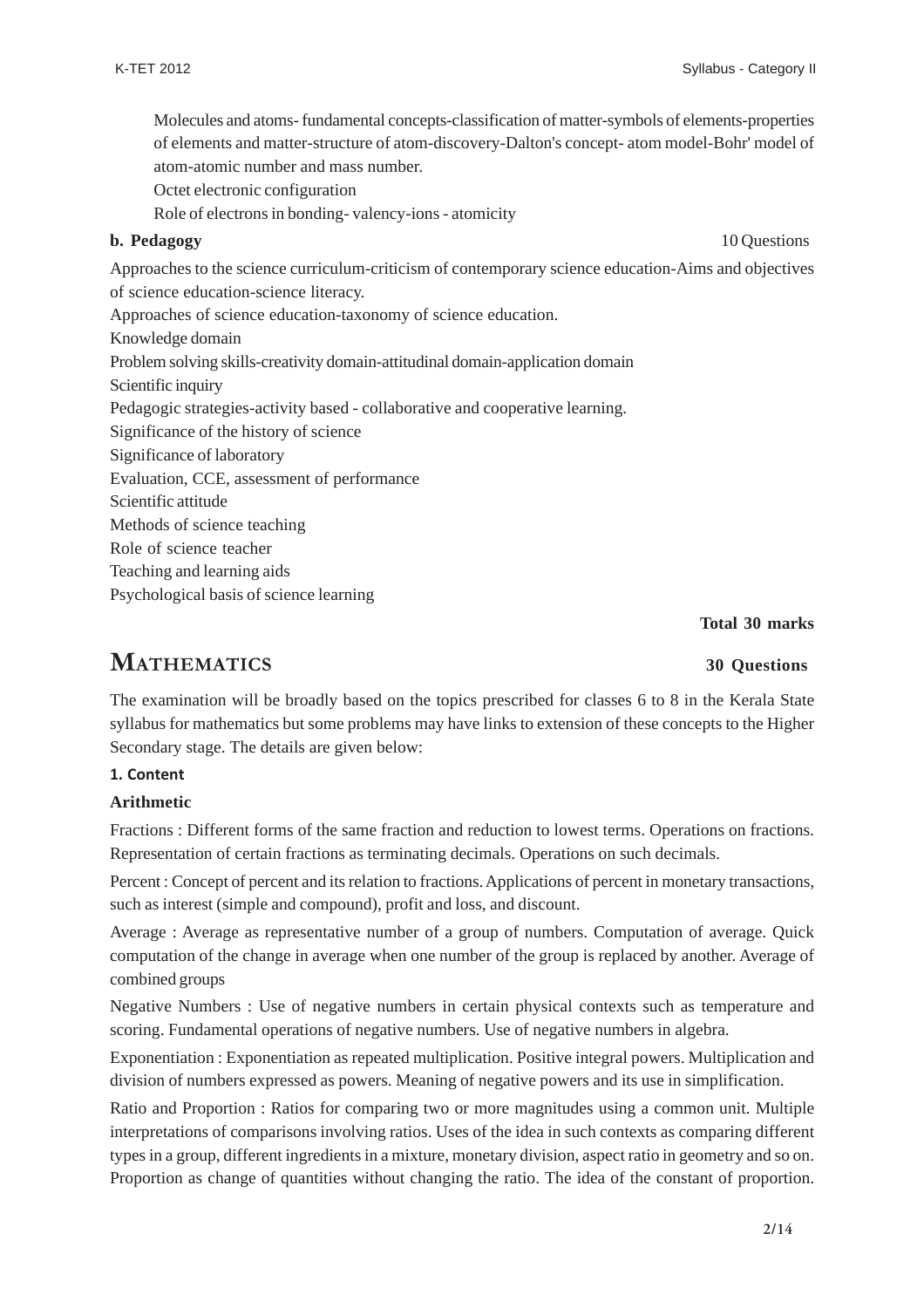Molecules and atoms- fundamental concepts-classification of matter-symbols of elements-properties of elements and matter-structure of atom-discovery-Dalton's concept- atom model-Bohr' model of atom-atomic number and mass number.

Octet electronic configuration

Role of electrons in bonding- valency-ions - atomicity

#### **b. Pedagogy** 10 Questions **b. Pedagogy** 10 Questions **b. Pedagogy**

Approaches to the science curriculum-criticism of contemporary science education-Aims and objectives of science education-science literacy.

Approaches of science education-taxonomy of science education.

Knowledge domain

Problem solving skills-creativity domain-attitudinal domain-application domain

Scientific inquiry

Pedagogic strategies-activity based - collaborative and cooperative learning.

Significance of the history of science

Significance of laboratory

Evaluation, CCE, assessment of performance

Scientific attitude

Methods of science teaching

Role of science teacher

Teaching and learning aids

Psychological basis of science learning

**Total 30 marks**

## **MATHEMATICS 30 Questions**

The examination will be broadly based on the topics prescribed for classes 6 to 8 in the Kerala State syllabus for mathematics but some problems may have links to extension of these concepts to the Higher Secondary stage. The details are given below:

#### **1. Content**

#### **Arithmetic**

Fractions : Different forms of the same fraction and reduction to lowest terms. Operations on fractions. Representation of certain fractions as terminating decimals. Operations on such decimals.

Percent : Concept of percent and its relation to fractions. Applications of percent in monetary transactions, such as interest (simple and compound), profit and loss, and discount.

Average : Average as representative number of a group of numbers. Computation of average. Quick computation of the change in average when one number of the group is replaced by another. Average of combined groups

Negative Numbers : Use of negative numbers in certain physical contexts such as temperature and scoring. Fundamental operations of negative numbers. Use of negative numbers in algebra.

Exponentiation : Exponentiation as repeated multiplication. Positive integral powers. Multiplication and division of numbers expressed as powers. Meaning of negative powers and its use in simplification.

Ratio and Proportion : Ratios for comparing two or more magnitudes using a common unit. Multiple interpretations of comparisons involving ratios. Uses of the idea in such contexts as comparing different types in a group, different ingredients in a mixture, monetary division, aspect ratio in geometry and so on. Proportion as change of quantities without changing the ratio. The idea of the constant of proportion.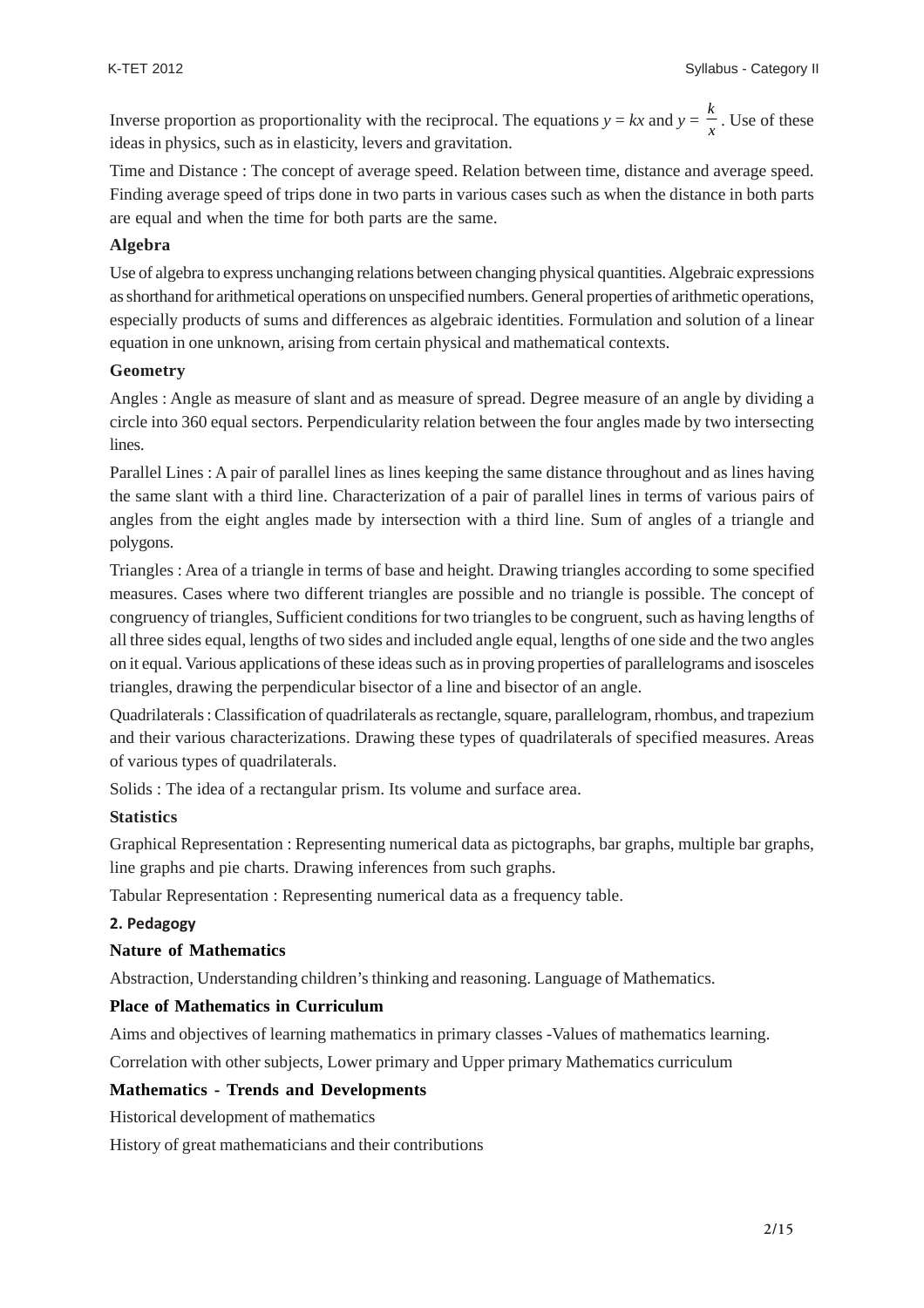Inverse proportion as proportionality with the reciprocal. The equations  $y = kx$  and  $y = \frac{k}{x}$ . Use of these ideas in physics, such as in elasticity, levers and gravitation.

Time and Distance : The concept of average speed. Relation between time, distance and average speed. Finding average speed of trips done in two parts in various cases such as when the distance in both parts are equal and when the time for both parts are the same.

#### **Algebra**

Use of algebra to express unchanging relations between changing physical quantities. Algebraic expressions as shorthand for arithmetical operations on unspecified numbers. General properties of arithmetic operations, especially products of sums and differences as algebraic identities. Formulation and solution of a linear equation in one unknown, arising from certain physical and mathematical contexts.

#### **Geometry**

Angles : Angle as measure of slant and as measure of spread. Degree measure of an angle by dividing a circle into 360 equal sectors. Perpendicularity relation between the four angles made by two intersecting lines.

Parallel Lines : A pair of parallel lines as lines keeping the same distance throughout and as lines having the same slant with a third line. Characterization of a pair of parallel lines in terms of various pairs of angles from the eight angles made by intersection with a third line. Sum of angles of a triangle and polygons.

Triangles : Area of a triangle in terms of base and height. Drawing triangles according to some specified measures. Cases where two different triangles are possible and no triangle is possible. The concept of congruency of triangles, Sufficient conditions for two triangles to be congruent, such as having lengths of all three sides equal, lengths of two sides and included angle equal, lengths of one side and the two angles on it equal. Various applications of these ideas such as in proving properties of parallelograms and isosceles triangles, drawing the perpendicular bisector of a line and bisector of an angle.

Quadrilaterals : Classification of quadrilaterals as rectangle, square, parallelogram, rhombus, and trapezium and their various characterizations. Drawing these types of quadrilaterals of specified measures. Areas of various types of quadrilaterals.

Solids : The idea of a rectangular prism. Its volume and surface area.

#### **Statistics**

Graphical Representation : Representing numerical data as pictographs, bar graphs, multiple bar graphs, line graphs and pie charts. Drawing inferences from such graphs.

Tabular Representation : Representing numerical data as a frequency table.

#### **2. Pedagogy**

#### **Nature of Mathematics**

Abstraction, Understanding children's thinking and reasoning. Language of Mathematics.

#### **Place of Mathematics in Curriculum**

Aims and objectives of learning mathematics in primary classes -Values of mathematics learning.

Correlation with other subjects, Lower primary and Upper primary Mathematics curriculum

### **Mathematics - Trends and Developments**

Historical development of mathematics

History of great mathematicians and their contributions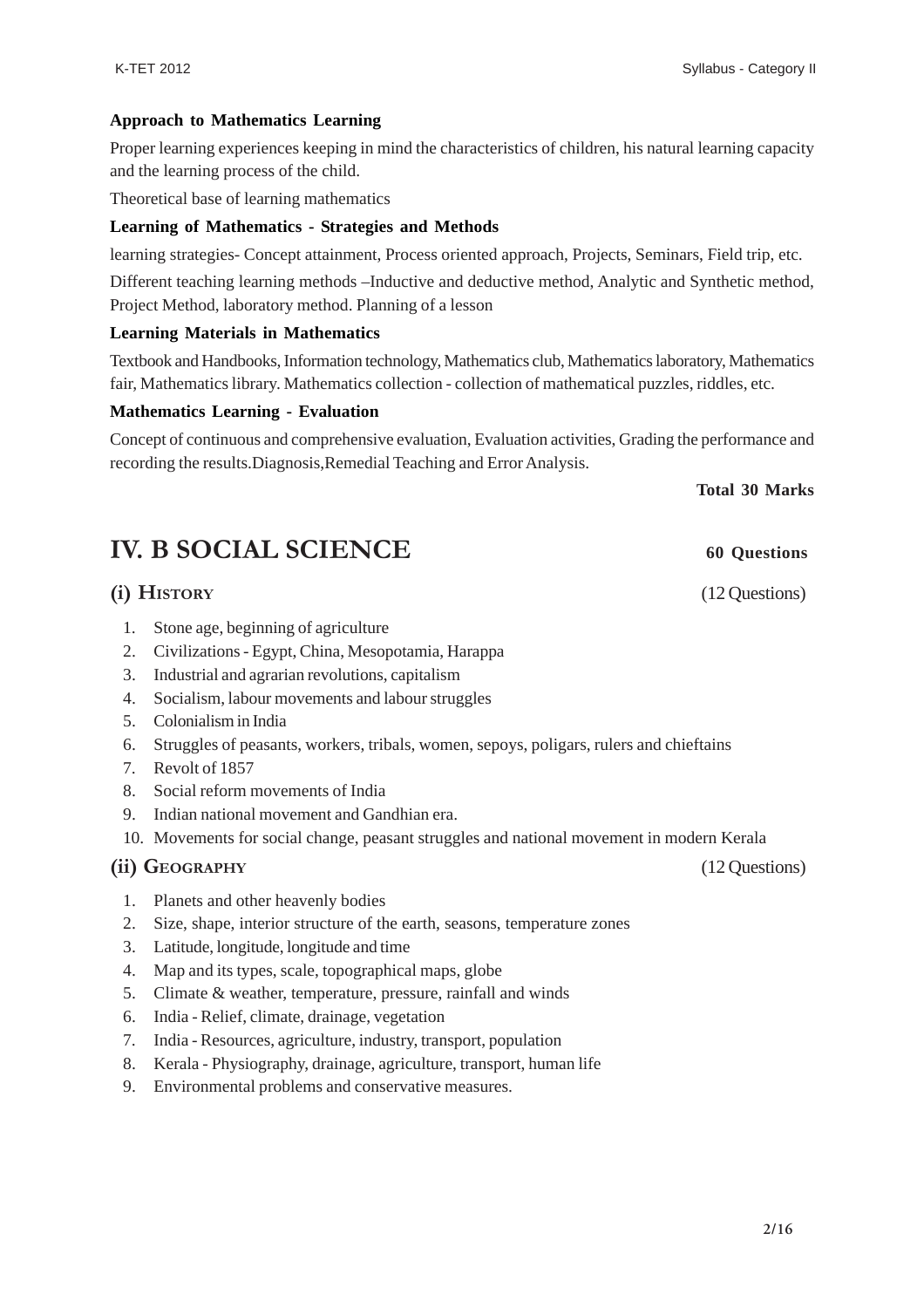#### **Approach to Mathematics Learning**

Proper learning experiences keeping in mind the characteristics of children, his natural learning capacity and the learning process of the child.

Theoretical base of learning mathematics

#### **Learning of Mathematics - Strategies and Methods**

learning strategies- Concept attainment, Process oriented approach, Projects, Seminars, Field trip, etc.

Different teaching learning methods –Inductive and deductive method, Analytic and Synthetic method, Project Method, laboratory method. Planning of a lesson

#### **Learning Materials in Mathematics**

Textbook and Handbooks, Information technology, Mathematics club, Mathematics laboratory, Mathematics fair, Mathematics library. Mathematics collection - collection of mathematical puzzles, riddles, etc.

#### **Mathematics Learning - Evaluation**

Concept of continuous and comprehensive evaluation, Evaluation activities, Grading the performance and recording the results.Diagnosis,Remedial Teaching and Error Analysis.

**Total 30 Marks**

## **IV. B SOCIAL SCIENCE** 60 Questions

### **(i) HISTORY** (12 Questions)

- 1. Stone age, beginning of agriculture
- 2. Civilizations Egypt, China, Mesopotamia, Harappa
- 3. Industrial and agrarian revolutions, capitalism
- 4. Socialism, labour movements and labour struggles
- 5. Colonialism in India
- 6. Struggles of peasants, workers, tribals, women, sepoys, poligars, rulers and chieftains
- 7. Revolt of 1857
- 8. Social reform movements of India
- 9. Indian national movement and Gandhian era.
- 10. Movements for social change, peasant struggles and national movement in modern Kerala

#### **(ii) GEOGRAPHY** (12 Questions)

1. Planets and other heavenly bodies

- 2. Size, shape, interior structure of the earth, seasons, temperature zones
- 3. Latitude, longitude, longitude and time
- 4. Map and its types, scale, topographical maps, globe
- 5. Climate & weather, temperature, pressure, rainfall and winds
- 6. India Relief, climate, drainage, vegetation
- 7. India Resources, agriculture, industry, transport, population
- 8. Kerala Physiography, drainage, agriculture, transport, human life
- 9. Environmental problems and conservative measures.